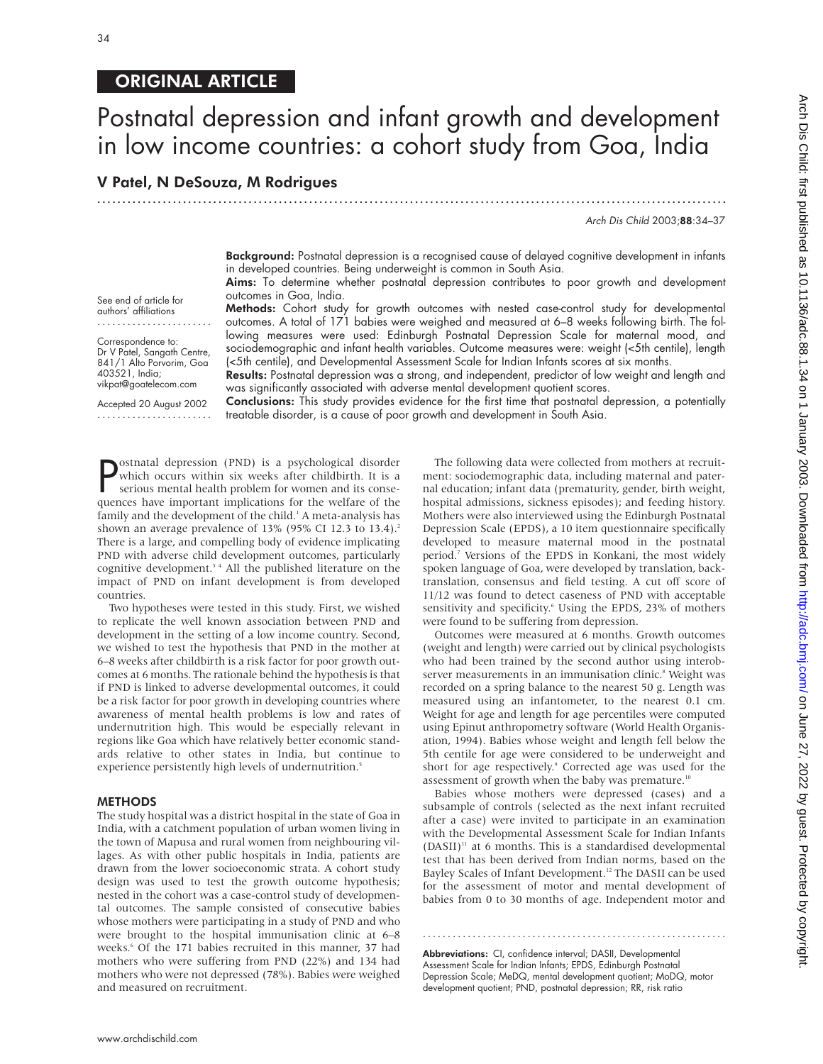## ORIGINAL ARTICLE

# Postnatal depression and infant growth and development in low income countries: a cohort study from Goa, India

.............................................................................................................................

## V Patel, N DeSouza, M Rodrigues

Arch Dis Child 2003;88:34–37

**Background:** Postnatal depression is a recognised cause of delayed cognitive development in infants in developed countries. Being underweight is common in South Asia.

Aims: To determine whether postnatal depression contributes to poor growth and development outcomes in Goa, India.

Methods: Cohort study for growth outcomes with nested case-control study for developmental outcomes. A total of 171 babies were weighed and measured at 6–8 weeks following birth. The following measures were used: Edinburgh Postnatal Depression Scale for maternal mood, and sociodemographic and infant health variables. Outcome measures were: weight (<5th centile), length (<5th centile), and Developmental Assessment Scale for Indian Infants scores at six months.

Results: Postnatal depression was a strong, and independent, predictor of low weight and length and was significantly associated with adverse mental development quotient scores.

Accepted 20 August 2002 .......................

See end of article for authors' affiliations ....................... Correspondence to: Dr V Patel, Sangath Centre, 841/1 Alto Porvorim, Goa 403521, India; vikpat@goatelecom.com

> Conclusions: This study provides evidence for the first time that postnatal depression, a potentially treatable disorder, is a cause of poor growth and development in South Asia.

**P** ostnatal depression (PND) is a psychological disorder which occurs within six weeks after childbirth. It is a serious mental health problem for women and its consequences have important implications for the welfare of ostnatal depression (PND) is a psychological disorder which occurs within six weeks after childbirth. It is a serious mental health problem for women and its consefamily and the development of the child.<sup>1</sup> A meta-analysis has shown an average prevalence of  $13\%$  (95% CI 12.3 to 13.4).<sup>2</sup> There is a large, and compelling body of evidence implicating PND with adverse child development outcomes, particularly cognitive development.<sup>34</sup> All the published literature on the impact of PND on infant development is from developed countries.

Two hypotheses were tested in this study. First, we wished to replicate the well known association between PND and development in the setting of a low income country. Second, we wished to test the hypothesis that PND in the mother at 6–8 weeks after childbirth is a risk factor for poor growth outcomes at 6 months. The rationale behind the hypothesis is that if PND is linked to adverse developmental outcomes, it could be a risk factor for poor growth in developing countries where awareness of mental health problems is low and rates of undernutrition high. This would be especially relevant in regions like Goa which have relatively better economic standards relative to other states in India, but continue to experience persistently high levels of undernutrition.<sup>5</sup>

#### **METHODS**

The study hospital was a district hospital in the state of Goa in India, with a catchment population of urban women living in the town of Mapusa and rural women from neighbouring villages. As with other public hospitals in India, patients are drawn from the lower socioeconomic strata. A cohort study design was used to test the growth outcome hypothesis; nested in the cohort was a case-control study of developmental outcomes. The sample consisted of consecutive babies whose mothers were participating in a study of PND and who were brought to the hospital immunisation clinic at 6–8 weeks.<sup>6</sup> Of the 171 babies recruited in this manner, 37 had mothers who were suffering from PND (22%) and 134 had mothers who were not depressed (78%). Babies were weighed and measured on recruitment.

The following data were collected from mothers at recruitment: sociodemographic data, including maternal and paternal education; infant data (prematurity, gender, birth weight, hospital admissions, sickness episodes); and feeding history. Mothers were also interviewed using the Edinburgh Postnatal Depression Scale (EPDS), a 10 item questionnaire specifically developed to measure maternal mood in the postnatal period.7 Versions of the EPDS in Konkani, the most widely spoken language of Goa, were developed by translation, backtranslation, consensus and field testing. A cut off score of 11/12 was found to detect caseness of PND with acceptable sensitivity and specificity.<sup>6</sup> Using the EPDS, 23% of mothers were found to be suffering from depression.

Outcomes were measured at 6 months. Growth outcomes (weight and length) were carried out by clinical psychologists who had been trained by the second author using interobserver measurements in an immunisation clinic.<sup>8</sup> Weight was recorded on a spring balance to the nearest 50 g. Length was measured using an infantometer, to the nearest 0.1 cm. Weight for age and length for age percentiles were computed using Epinut anthropometry software (World Health Organisation, 1994). Babies whose weight and length fell below the 5th centile for age were considered to be underweight and short for age respectively.<sup>9</sup> Corrected age was used for the assessment of growth when the baby was premature.<sup>10</sup>

Babies whose mothers were depressed (cases) and a subsample of controls (selected as the next infant recruited after a case) were invited to participate in an examination with the Developmental Assessment Scale for Indian Infants  $(DASII)^{11}$  at 6 months. This is a standardised developmental test that has been derived from Indian norms, based on the Bayley Scales of Infant Development.<sup>12</sup> The DASII can be used for the assessment of motor and mental development of babies from 0 to 30 months of age. Independent motor and

Abbreviations: CI, confidence interval; DASII, Developmental Assessment Scale for Indian Infants; EPDS, Edinburgh Postnatal Depression Scale; MeDQ, mental development quotient; MoDQ, motor development quotient; PND, postnatal depression; RR, risk ratio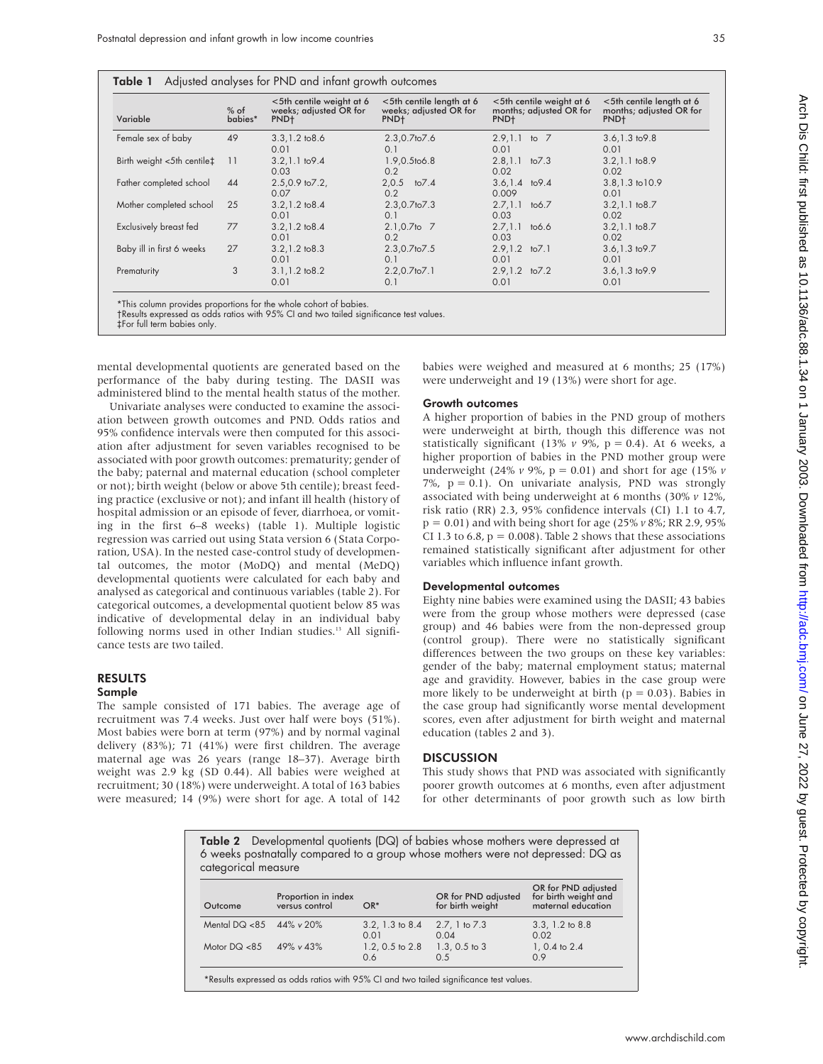|  |  |  |  |  | Table 1 Adjusted analyses for PND and infant growth outcomes |
|--|--|--|--|--|--------------------------------------------------------------|
|--|--|--|--|--|--------------------------------------------------------------|

| Variable                   | $%$ of<br>babies* | <5th centile weight at 6<br>weeks; adjusted OR for<br>PND+ | <5th centile length at 6<br>weeks; adjusted OR for<br>PND+ | <5th centile weight at 6<br>months; adjusted OR for<br>PND+ | <5th centile length at 6<br>months; adjusted OR for<br>PND+ |
|----------------------------|-------------------|------------------------------------------------------------|------------------------------------------------------------|-------------------------------------------------------------|-------------------------------------------------------------|
| Female sex of baby         | 49                | $3.3, 1.2$ to $8.6$<br>0.01                                | 2.3,0.7to7.6<br>0.1                                        | $2.9.1.1$ to 7<br>0.01                                      | $3.6, 1.3$ to $9.8$<br>0.01                                 |
| Birth weight <5th centile‡ | 11                | $3.2, 1.1$ to $9.4$<br>0.03                                | 1.9,0.5to6.8<br>0.2                                        | $2.8, 1.1$ to $7.3$<br>0.02                                 | $3.2, 1.1$ to $8.9$<br>0.02                                 |
| Father completed school    | 44                | $2.5,0.9$ to $7.2$ ,<br>0.07                               | $2,0.5$ to $7.4$<br>0.2                                    | $3.6, 1.4$ to $9.4$<br>0.009                                | 3.8, 1.3 to 10.9<br>0.01                                    |
| Mother completed school    | 25                | 3.2, 1.2 to 8.4<br>0.01                                    | 2.3,0.7to7.3<br>0.1                                        | $2.7, 1.1$ to 6.7<br>0.03                                   | $3.2, 1.1$ to $8.7$<br>0.02                                 |
| Exclusively breast fed     | 77                | $3.2, 1.2$ to $8.4$<br>0.01                                | 2.1.0.7to 7<br>0.2                                         | $2.7.1.1$ to 6.6<br>0.03                                    | $3.2, 1.1$ to $8.7$<br>0.02                                 |
| Baby ill in first 6 weeks  | 27                | $3.2, 1.2$ to $8.3$<br>0.01                                | 2.3,0.7to7.5<br>0.1                                        | $2.9, 1.2$ to $7.1$<br>0.01                                 | $3.6, 1.3$ to $9.7$<br>0.01                                 |
| Prematurity                | 3                 | $3.1, 1.2$ to $8.2$<br>0.01                                | 2.2,0.7to7.1<br>0.1                                        | $2.9, 1.2$ to $7.2$<br>0.01                                 | $3.6, 1.3$ to $9.9$<br>0.01                                 |

\*This column provides proportions for the whole cohort of babies.

†Results expressed as odds ratios with 95% CI and two tailed significance test values. ‡For full term babies only.

mental developmental quotients are generated based on the performance of the baby during testing. The DASII was administered blind to the mental health status of the mother.

Univariate analyses were conducted to examine the association between growth outcomes and PND. Odds ratios and 95% confidence intervals were then computed for this association after adjustment for seven variables recognised to be associated with poor growth outcomes: prematurity; gender of the baby; paternal and maternal education (school completer or not); birth weight (below or above 5th centile); breast feeding practice (exclusive or not); and infant ill health (history of hospital admission or an episode of fever, diarrhoea, or vomiting in the first 6–8 weeks) (table 1). Multiple logistic regression was carried out using Stata version 6 (Stata Corporation, USA). In the nested case-control study of developmental outcomes, the motor (MoDQ) and mental (MeDQ) developmental quotients were calculated for each baby and analysed as categorical and continuous variables (table 2). For categorical outcomes, a developmental quotient below 85 was indicative of developmental delay in an individual baby following norms used in other Indian studies.<sup>13</sup> All significance tests are two tailed.

## RESULTS

#### Sample

The sample consisted of 171 babies. The average age of recruitment was 7.4 weeks. Just over half were boys (51%). Most babies were born at term (97%) and by normal vaginal delivery (83%); 71 (41%) were first children. The average maternal age was 26 years (range 18–37). Average birth weight was 2.9 kg (SD 0.44). All babies were weighed at recruitment; 30 (18%) were underweight. A total of 163 babies were measured; 14 (9%) were short for age. A total of 142

babies were weighed and measured at 6 months; 25 (17%) were underweight and 19 (13%) were short for age.

#### Growth outcomes

A higher proportion of babies in the PND group of mothers were underweight at birth, though this difference was not statistically significant (13%  $v$  9%,  $p = 0.4$ ). At 6 weeks, a higher proportion of babies in the PND mother group were underweight (24%  $\nu$  9%,  $p = 0.01$ ) and short for age (15%  $\nu$ ) 7%,  $p = 0.1$ ). On univariate analysis, PND was strongly associated with being underweight at 6 months (30% *v* 12%, risk ratio (RR) 2.3, 95% confidence intervals (CI) 1.1 to 4.7, p = 0.01) and with being short for age (25% *v* 8%; RR 2.9, 95% CI 1.3 to 6.8,  $p = 0.008$ ). Table 2 shows that these associations remained statistically significant after adjustment for other variables which influence infant growth.

#### Developmental outcomes

Eighty nine babies were examined using the DASII; 43 babies were from the group whose mothers were depressed (case group) and 46 babies were from the non-depressed group (control group). There were no statistically significant differences between the two groups on these key variables: gender of the baby; maternal employment status; maternal age and gravidity. However, babies in the case group were more likely to be underweight at birth ( $p = 0.03$ ). Babies in the case group had significantly worse mental development scores, even after adjustment for birth weight and maternal education (tables 2 and 3).

#### **DISCUSSION**

This study shows that PND was associated with significantly poorer growth outcomes at 6 months, even after adjustment for other determinants of poor growth such as low birth

Table 2 Developmental quotients (DQ) of babies whose mothers were depressed at 6 weeks postnatally compared to a group whose mothers were not depressed: DQ as categorical measure

| Outcome                    | Proportion in index<br>versus control | $OR*$                       | OR for PND adjusted<br>for birth weight | OR for PND adjusted<br>for birth weight and<br>maternal education |
|----------------------------|---------------------------------------|-----------------------------|-----------------------------------------|-------------------------------------------------------------------|
| Mental DQ $< 85$ 44% v 20% |                                       | $3.2, 1.3$ to $8.4$<br>0.01 | 2.7, 1 to 7.3<br>0.04                   | 3.3, 1.2 to 8.8<br>0.02                                           |
| Motor $DQ < 85$            | $49\% \times 43\%$                    | 1.2, 0.5 to 2.8<br>0.6      | $1.3, 0.5$ to 3<br>0.5                  | 1.0.4 to 2.4<br>09                                                |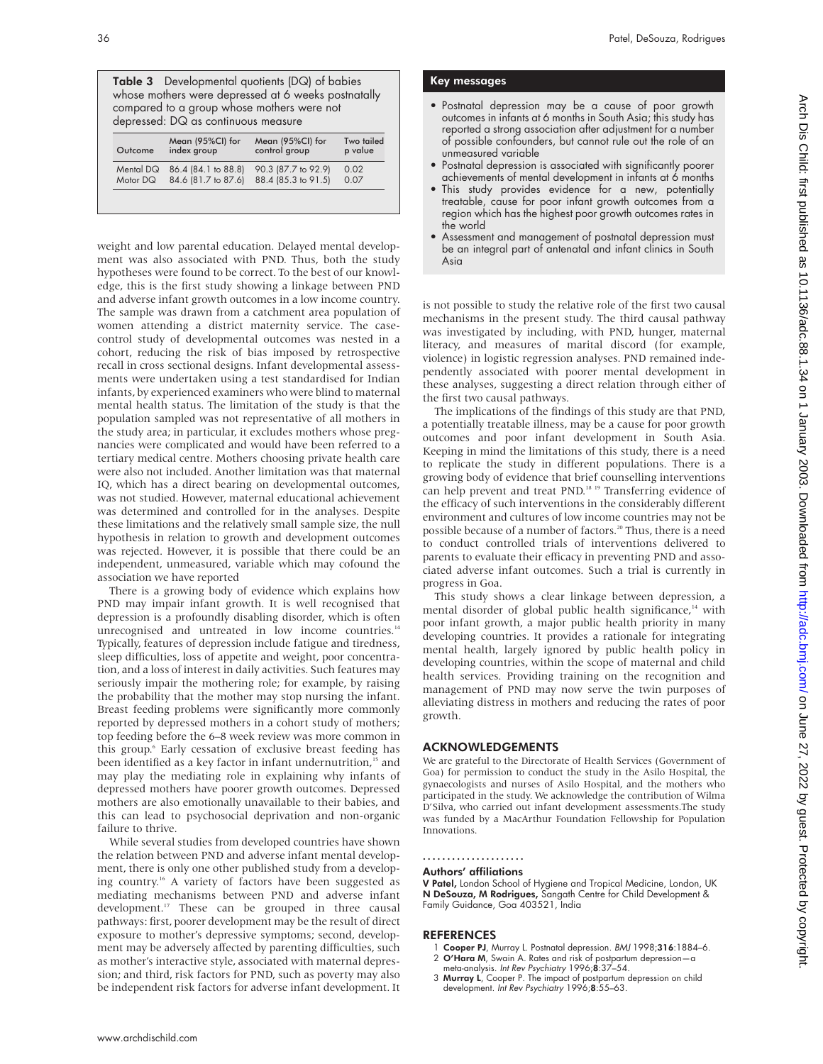Table 3 Developmental quotients (DQ) of babies whose mothers were depressed at 6 weeks postnatally compared to a group whose mothers were not depressed: DQ as continuous measure

| Outcome   | Mean (95%CI) for    | Mean (95%CI) for    | Two tailed |
|-----------|---------------------|---------------------|------------|
|           | index group         | control group       | p value    |
| Mental DQ | 86.4 (84.1 to 88.8) | 90.3 (87.7 to 92.9) | 0.02       |
| Motor DQ  | 84.6 (81.7 to 87.6) | 88.4 (85.3 to 91.5) | 0.07       |
|           |                     |                     |            |

weight and low parental education. Delayed mental development was also associated with PND. Thus, both the study hypotheses were found to be correct. To the best of our knowledge, this is the first study showing a linkage between PND and adverse infant growth outcomes in a low income country. The sample was drawn from a catchment area population of women attending a district maternity service. The casecontrol study of developmental outcomes was nested in a cohort, reducing the risk of bias imposed by retrospective recall in cross sectional designs. Infant developmental assessments were undertaken using a test standardised for Indian infants, by experienced examiners who were blind to maternal mental health status. The limitation of the study is that the population sampled was not representative of all mothers in the study area; in particular, it excludes mothers whose pregnancies were complicated and would have been referred to a tertiary medical centre. Mothers choosing private health care were also not included. Another limitation was that maternal IQ, which has a direct bearing on developmental outcomes, was not studied. However, maternal educational achievement was determined and controlled for in the analyses. Despite these limitations and the relatively small sample size, the null hypothesis in relation to growth and development outcomes was rejected. However, it is possible that there could be an independent, unmeasured, variable which may cofound the association we have reported

There is a growing body of evidence which explains how PND may impair infant growth. It is well recognised that depression is a profoundly disabling disorder, which is often unrecognised and untreated in low income countries.<sup>14</sup> Typically, features of depression include fatigue and tiredness, sleep difficulties, loss of appetite and weight, poor concentration, and a loss of interest in daily activities. Such features may seriously impair the mothering role; for example, by raising the probability that the mother may stop nursing the infant. Breast feeding problems were significantly more commonly reported by depressed mothers in a cohort study of mothers; top feeding before the 6–8 week review was more common in this group.<sup>6</sup> Early cessation of exclusive breast feeding has been identified as a key factor in infant undernutrition,<sup>15</sup> and may play the mediating role in explaining why infants of depressed mothers have poorer growth outcomes. Depressed mothers are also emotionally unavailable to their babies, and this can lead to psychosocial deprivation and non-organic failure to thrive.

While several studies from developed countries have shown the relation between PND and adverse infant mental development, there is only one other published study from a developing country.16 A variety of factors have been suggested as mediating mechanisms between PND and adverse infant development.<sup>17</sup> These can be grouped in three causal pathways: first, poorer development may be the result of direct exposure to mother's depressive symptoms; second, development may be adversely affected by parenting difficulties, such as mother's interactive style, associated with maternal depression; and third, risk factors for PND, such as poverty may also be independent risk factors for adverse infant development. It

#### Key messages

- Postnatal depression may be a cause of poor growth outcomes in infants at 6 months in South Asia; this study has reported a strong association after adjustment for a number of possible confounders, but cannot rule out the role of an unmeasured variable
- Postnatal depression is associated with significantly poorer achievements of mental development in infants at 6 months
- This study provides evidence for a new, potentially treatable, cause for poor infant growth outcomes from a region which has the highest poor growth outcomes rates in the world
- Assessment and management of postnatal depression must be an integral part of antenatal and infant clinics in South Asia

is not possible to study the relative role of the first two causal mechanisms in the present study. The third causal pathway was investigated by including, with PND, hunger, maternal literacy, and measures of marital discord (for example, violence) in logistic regression analyses. PND remained independently associated with poorer mental development in these analyses, suggesting a direct relation through either of the first two causal pathways.

The implications of the findings of this study are that PND, a potentially treatable illness, may be a cause for poor growth outcomes and poor infant development in South Asia. Keeping in mind the limitations of this study, there is a need to replicate the study in different populations. There is a growing body of evidence that brief counselling interventions can help prevent and treat PND.<sup>18 19</sup> Transferring evidence of the efficacy of such interventions in the considerably different environment and cultures of low income countries may not be possible because of a number of factors.<sup>20</sup> Thus, there is a need to conduct controlled trials of interventions delivered to parents to evaluate their efficacy in preventing PND and associated adverse infant outcomes. Such a trial is currently in progress in Goa.

This study shows a clear linkage between depression, a mental disorder of global public health significance, $14$  with poor infant growth, a major public health priority in many developing countries. It provides a rationale for integrating mental health, largely ignored by public health policy in developing countries, within the scope of maternal and child health services. Providing training on the recognition and management of PND may now serve the twin purposes of alleviating distress in mothers and reducing the rates of poor growth.

## ACKNOWLEDGEMENTS

We are grateful to the Directorate of Health Services (Government of Goa) for permission to conduct the study in the Asilo Hospital, the gynaecologists and nurses of Asilo Hospital, and the mothers who participated in the study. We acknowledge the contribution of Wilma D'Silva, who carried out infant development assessments.The study was funded by a MacArthur Foundation Fellowship for Population Innovations.

## .....................

## Authors' affiliations

V Patel, London School of Hygiene and Tropical Medicine, London, UK N DeSouza, M Rodrigues, Sangath Centre for Child Development & Family Guidance, Goa 403521, India

#### REFERENCES

- 1 Cooper PJ, Murray L. Postnatal depression. BMJ 1998;316:1884-6. 2 O'Hara M, Swain A. Rates and risk of postpartum depression-a
- meta-analysis. Int Rev Psychiatry 1996;8:37–54. 3 Murray L, Cooper P. The impact of postpartum depression on child development. Int Rev Psychiatry 1996;8:55–63.